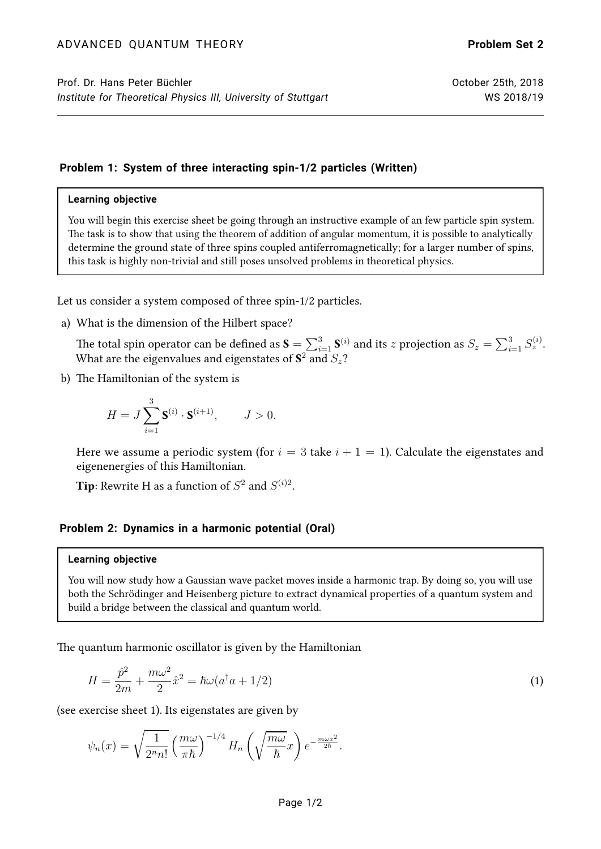## **Problem 1: System of three interacting spin-1/2 particles (Written)**

## **Learning objective**

You will begin this exercise sheet be going through an instructive example of an few particle spin system. The task is to show that using the theorem of addition of angular momentum, it is possible to analytically determine the ground state of three spins coupled antiferromagnetically; for a larger number of spins, this task is highly non-trivial and still poses unsolved problems in theoretical physics.

Let us consider a system composed of three spin-1/2 particles.

a) What is the dimension of the Hilbert space?

The total spin operator can be defined as  ${\bf S}=\sum_{i=1}^3{\bf S}^{(i)}$  and its  $z$  projection as  $S_z=\sum_{i=1}^3S^{(i)}_z.$ What are the eigenvalues and eigenstates of  $\mathbf{S}^2$  and  $S_z?$ 

b) The Hamiltonian of the system is

$$
H = J \sum_{i=1}^{3} \mathbf{S}^{(i)} \cdot \mathbf{S}^{(i+1)}, \qquad J > 0.
$$

Here we assume a periodic system (for  $i = 3$  take  $i + 1 = 1$ ). Calculate the eigenstates and eigenenergies of this Hamiltonian.

**Tip**: Rewrite H as a function of  $S^2$  and  $S^{(i)2}$ .

## **Problem 2: Dynamics in a harmonic potential (Oral)**

## **Learning objective**

You will now study how a Gaussian wave packet moves inside a harmonic trap. By doing so, you will use both the Schrödinger and Heisenberg picture to extract dynamical properties of a quantum system and build a bridge between the classical and quantum world.

The quantum harmonic oscillator is given by the Hamiltonian

$$
H = \frac{\hat{p}^2}{2m} + \frac{m\omega^2}{2}\hat{x}^2 = \hbar\omega(a^\dagger a + 1/2)
$$
 (1)

(see exercise sheet 1). Its eigenstates are given by

$$
\psi_n(x) = \sqrt{\frac{1}{2^n n!}} \left(\frac{m\omega}{\pi\hbar}\right)^{-1/4} H_n\left(\sqrt{\frac{m\omega}{\hbar}}x\right) e^{-\frac{m\omega x^2}{2\hbar}}.
$$